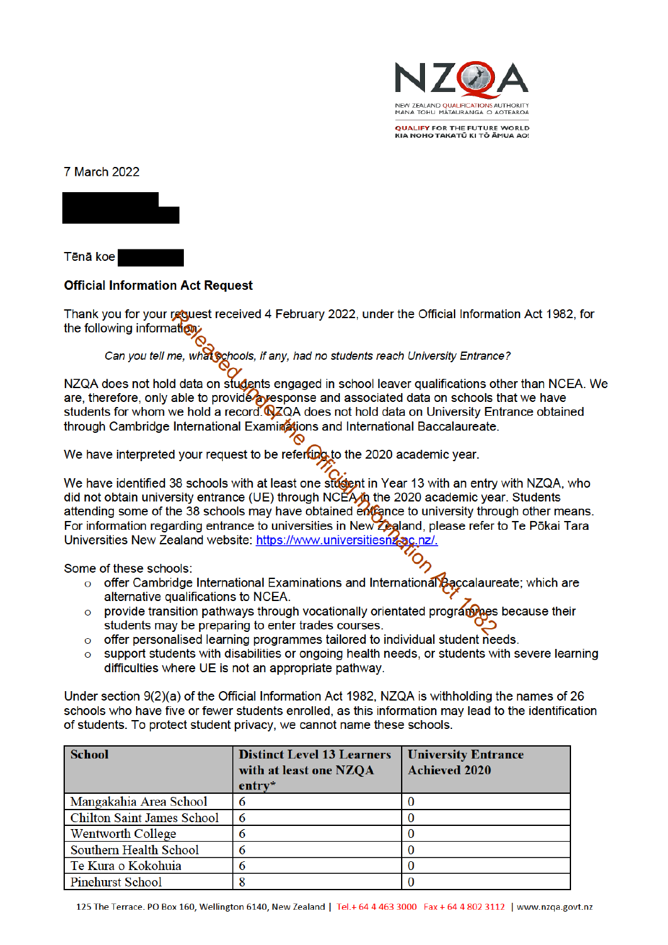

**OUALIEY FOR THE EUTURE WORLD** KIA NOHO TAKATŪ KI TÕ ĀMUA AO!

7 March 2022



Tēnā koe

## **Official Information Act Request**

Thank you for your request received 4 February 2022, under the Official Information Act 1982, for the following information:

## Can you tell me, what Schools, if any, had no students reach University Entrance?

NZQA does not hold data on students engaged in school leaver qualifications other than NCEA. We are, therefore, only able to provide a response and associated data on schools that we have students for whom we hold a record **N**ZQA does not hold data on University Entrance obtained through Cambridge International Examinations and International Baccalaureate.

We have interpreted your request to be referting to the 2020 academic year.

We have identified 38 schools with at least one student in Year 13 with an entry with NZQA, who did not obtain university entrance (UE) through NCEA $\hat{\mu}$  the 2020 academic year. Students attending some of the 38 schools may have obtained entrance to university through other means. For information regarding entrance to universities in New Zealand, please refer to Te Pōkai Tara Universities New Zealand website: https://www.universitiesnz.ac.nz/.

Some of these schools:

- offer Cambridge International Examinations and International Baccalaureate; which are alternative qualifications to NCEA.
- provide transition pathways through vocationally orientated program as because their  $\Omega$ students may be preparing to enter trades courses.
- offer personalised learning programmes tailored to individual student needs.  $\Omega$
- support students with disabilities or ongoing health needs, or students with severe learning  $\overline{O}$ difficulties where UE is not an appropriate pathway.

Under section 9(2)(a) of the Official Information Act 1982. NZQA is withholding the names of 26 schools who have five or fewer students enrolled, as this information may lead to the identification of students. To protect student privacy, we cannot name these schools.

| <b>School</b>                     | <b>Distinct Level 13 Learners</b><br>with at least one NZQA<br>$entry*$ | <b>University Entrance</b><br><b>Achieved 2020</b> |
|-----------------------------------|-------------------------------------------------------------------------|----------------------------------------------------|
| Mangakahia Area School            |                                                                         |                                                    |
| <b>Chilton Saint James School</b> | 6                                                                       |                                                    |
| <b>Wentworth College</b>          |                                                                         |                                                    |
| Southern Health School            |                                                                         |                                                    |
| Te Kura o Kokohuia                |                                                                         |                                                    |
| <b>Pinehurst School</b>           |                                                                         |                                                    |